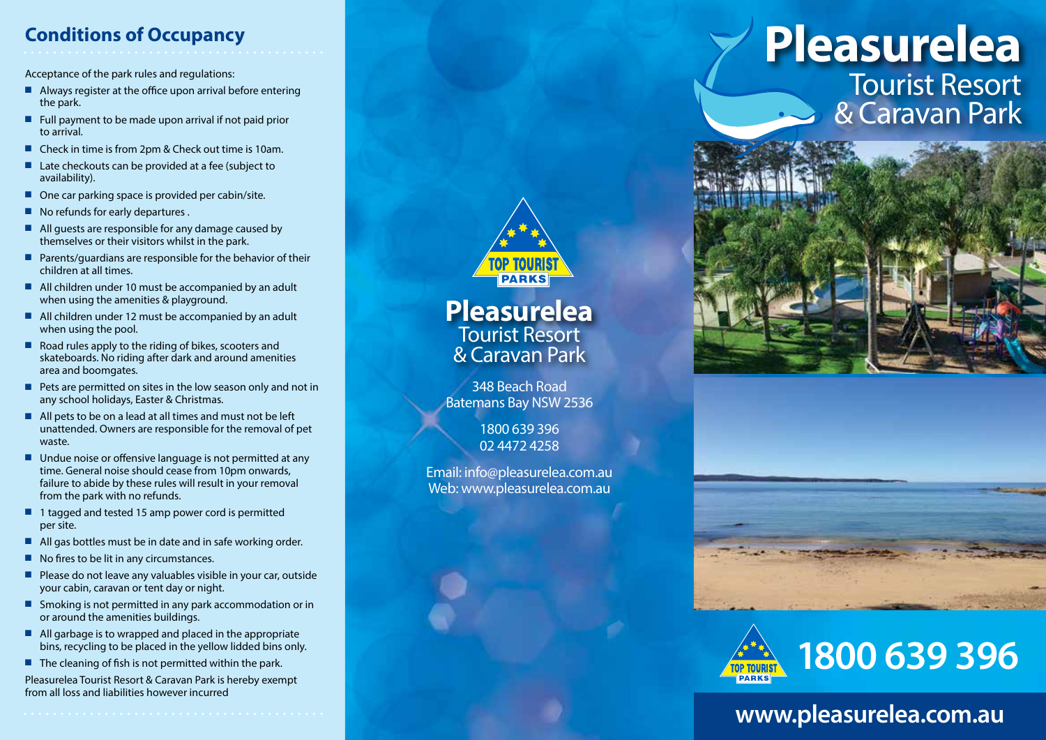## **Conditions of Occupancy**

Acceptance of the park rules and regulations:

- $\blacksquare$  Always register at the office upon arrival before entering the park.
- Full payment to be made upon arrival if not paid prior to arrival.
- Check in time is from 2pm & Check out time is 10am.
- $\blacksquare$  Late checkouts can be provided at a fee (subject to availability).
- $\Box$  One car parking space is provided per cabin/site.
- $\blacksquare$  No refunds for early departures .
- $\blacksquare$  All guests are responsible for any damage caused by themselves or their visitors whilst in the park.
- Parents/guardians are responsible for the behavior of their children at all times.
- $\blacksquare$  All children under 10 must be accompanied by an adult when using the amenities & playground.
- $\blacksquare$  All children under 12 must be accompanied by an adult when using the pool.
- $\blacksquare$  Road rules apply to the riding of bikes, scooters and skateboards. No riding after dark and around amenities area and boomgates.
- $\blacksquare$  Pets are permitted on sites in the low season only and not in any school holidays, Easter & Christmas.
- $\blacksquare$  All pets to be on a lead at all times and must not be left unattended. Owners are responsible for the removal of pet waste.
- $\blacksquare$  Undue noise or offensive language is not permitted at any time. General noise should cease from 10pm onwards, failure to abide by these rules will result in your removal from the park with no refunds.
- $\blacksquare$  1 tagged and tested 15 amp power cord is permitted per site.
- $\blacksquare$  All gas bottles must be in date and in safe working order.
- $\blacksquare$  No fires to be lit in any circumstances.
- Please do not leave any valuables visible in your car, outside your cabin, caravan or tent day or night.
- Smoking is not permitted in any park accommodation or in or around the amenities buildings.
- $\blacksquare$  All garbage is to wrapped and placed in the appropriate bins, recycling to be placed in the yellow lidded bins only.
- $\blacksquare$  The cleaning of fish is not permitted within the park.

Pleasurelea Tourist Resort & Caravan Park is hereby exempt from all loss and liabilities however incurred



**Pleasurelea** Tourist Resort & Caravan Park

348 Beach Road Batemans Bay NSW 2536

> 1800 639 396 02 4472 4258

Email: info@pleasurelea.com.au Web: www.pleasurelea.com.au

## **Pleasurelea** Tourist Resort & Caravan Park







## **www.pleasurelea.com.au**